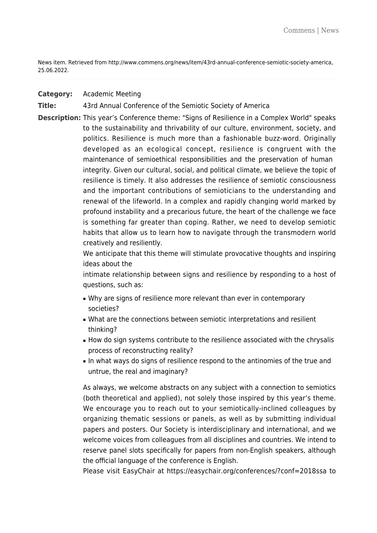News item. Retrieved from http://www.commens.org/news/item/43rd-annual-conference-semiotic-society-america, 25.06.2022.

### **Category:** Academic Meeting

### **Title:** 43rd Annual Conference of the Semiotic Society of America

**Description:** This year's Conference theme: "Signs of Resilience in a Complex World" speaks to the sustainability and thrivability of our culture, environment, society, and politics. Resilience is much more than a fashionable buzz-word. Originally developed as an ecological concept, resilience is congruent with the maintenance of semioethical responsibilities and the preservation of human integrity. Given our cultural, social, and political climate, we believe the topic of resilience is timely. It also addresses the resilience of semiotic consciousness and the important contributions of semioticians to the understanding and renewal of the lifeworld. In a complex and rapidly changing world marked by profound instability and a precarious future, the heart of the challenge we face is something far greater than coping. Rather, we need to develop semiotic habits that allow us to learn how to navigate through the transmodern world creatively and resiliently.

> We anticipate that this theme will stimulate provocative thoughts and inspiring ideas about the

> intimate relationship between signs and resilience by responding to a host of questions, such as:

- Why are signs of resilience more relevant than ever in contemporary societies?
- What are the connections between semiotic interpretations and resilient thinking?
- How do sign systems contribute to the resilience associated with the chrysalis process of reconstructing reality?
- In what ways do signs of resilience respond to the antinomies of the true and untrue, the real and imaginary?

As always, we welcome abstracts on any subject with a connection to semiotics (both theoretical and applied), not solely those inspired by this year's theme. We encourage you to reach out to your semiotically-inclined colleagues by organizing thematic sessions or panels, as well as by submitting individual papers and posters. Our Society is interdisciplinary and international, and we welcome voices from colleagues from all disciplines and countries. We intend to reserve panel slots specifically for papers from non-English speakers, although the official language of the conference is English.

Please visit EasyChair at <https://easychair.org/conferences/?conf=2018ssa> to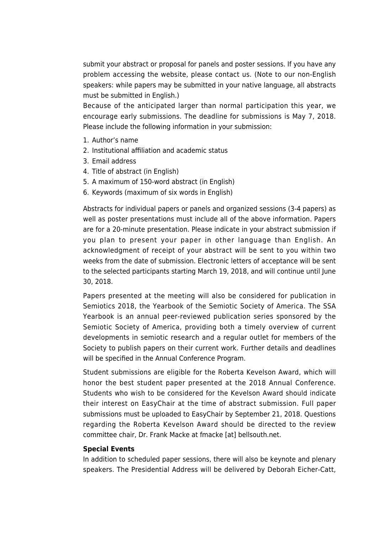submit your abstract or proposal for panels and poster sessions. If you have any problem accessing the website, please contact us. (Note to our non-English speakers: while papers may be submitted in your native language, all abstracts must be submitted in English.)

Because of the anticipated larger than normal participation this year, we encourage early submissions. The deadline for submissions is May 7, 2018. Please include the following information in your submission:

- 1. Author's name
- 2. Institutional affiliation and academic status
- 3. Email address
- 4. Title of abstract (in English)
- 5. A maximum of 150-word abstract (in English)
- 6. Keywords (maximum of six words in English)

Abstracts for individual papers or panels and organized sessions (3-4 papers) as well as poster presentations must include all of the above information. Papers are for a 20-minute presentation. Please indicate in your abstract submission if you plan to present your paper in other language than English. An acknowledgment of receipt of your abstract will be sent to you within two weeks from the date of submission. Electronic letters of acceptance will be sent to the selected participants starting March 19, 2018, and will continue until June 30, 2018.

Papers presented at the meeting will also be considered for publication in Semiotics 2018, the Yearbook of the Semiotic Society of America. The SSA Yearbook is an annual peer-reviewed publication series sponsored by the Semiotic Society of America, providing both a timely overview of current developments in semiotic research and a regular outlet for members of the Society to publish papers on their current work. Further details and deadlines will be specified in the Annual Conference Program.

Student submissions are eligible for the Roberta Kevelson Award, which will honor the best student paper presented at the 2018 Annual Conference. Students who wish to be considered for the Kevelson Award should indicate their interest on EasyChair at the time of abstract submission. Full paper submissions must be uploaded to EasyChair by September 21, 2018. Questions regarding the Roberta Kevelson Award should be directed to the review committee chair, Dr. Frank Macke at fmacke [at] bellsouth.net.

### **Special Events**

In addition to scheduled paper sessions, there will also be keynote and plenary speakers. The Presidential Address will be delivered by Deborah Eicher-Catt,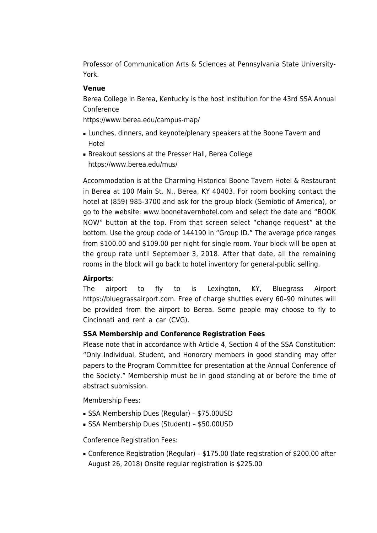Professor of Communication Arts & Sciences at Pennsylvania State University-York.

### **Venue**

Berea College in Berea, Kentucky is the host institution for the 43rd SSA Annual Conference

<https://www.berea.edu/campus-map/>

- Lunches, dinners, and keynote/plenary speakers at the Boone Tavern and Hotel
- Breakout sessions at the Presser Hall, Berea College <https://www.berea.edu/mus/>

Accommodation is at the Charming Historical Boone Tavern Hotel & Restaurant in Berea at 100 Main St. N., Berea, KY 40403. For room booking contact the hotel at (859) 985-3700 and ask for the group block (Semiotic of America), or go to the website: [www.boonetavernhotel.com](http://www.boonetavernhotel.com) and select the date and "BOOK NOW" button at the top. From that screen select "change request" at the bottom. Use the group code of 144190 in "Group ID." The average price ranges from \$100.00 and \$109.00 per night for single room. Your block will be open at the group rate until September 3, 2018. After that date, all the remaining rooms in the block will go back to hotel inventory for general-public selling.

# **Airports**:

The airport to fly to is Lexington, KY, Bluegrass Airport [https://bluegrassairport.com.](https://bluegrassairport.com) Free of charge shuttles every 60–90 minutes will be provided from the airport to Berea. Some people may choose to fly to Cincinnati and rent a car (CVG).

# **SSA Membership and Conference Registration Fees**

Please note that in accordance with Article 4, Section 4 of the SSA Constitution: "Only Individual, Student, and Honorary members in good standing may offer papers to the Program Committee for presentation at the Annual Conference of the Society." Membership must be in good standing at or before the time of abstract submission.

Membership Fees:

- SSA Membership Dues (Regular) \$75.00USD
- SSA Membership Dues (Student) \$50.00USD

Conference Registration Fees:

■ Conference Registration (Regular) – \$175.00 (late registration of \$200.00 after August 26, 2018) Onsite regular registration is \$225.00